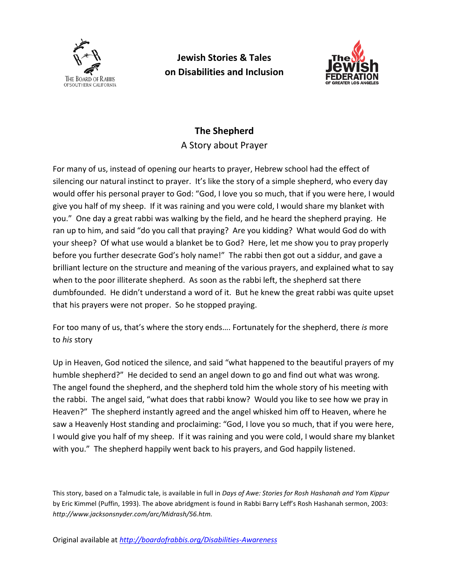

**Jewish Stories & Tales on Disabilities and Inclusion**



## **The Shepherd**

A Story about Prayer

For many of us, instead of opening our hearts to prayer, Hebrew school had the effect of silencing our natural instinct to prayer. It's like the story of a simple shepherd, who every day would offer his personal prayer to God: "God, I love you so much, that if you were here, I would give you half of my sheep. If it was raining and you were cold, I would share my blanket with you." One day a great rabbi was walking by the field, and he heard the shepherd praying. He ran up to him, and said "do you call that praying? Are you kidding? What would God do with your sheep? Of what use would a blanket be to God? Here, let me show you to pray properly before you further desecrate God's holy name!" The rabbi then got out a siddur, and gave a brilliant lecture on the structure and meaning of the various prayers, and explained what to say when to the poor illiterate shepherd. As soon as the rabbi left, the shepherd sat there dumbfounded. He didn't understand a word of it. But he knew the great rabbi was quite upset that his prayers were not proper. So he stopped praying.

For too many of us, that's where the story ends…. Fortunately for the shepherd, there *is* more to *his* story

Up in Heaven, God noticed the silence, and said "what happened to the beautiful prayers of my humble shepherd?" He decided to send an angel down to go and find out what was wrong. The angel found the shepherd, and the shepherd told him the whole story of his meeting with the rabbi. The angel said, "what does that rabbi know? Would you like to see how we pray in Heaven?" The shepherd instantly agreed and the angel whisked him off to Heaven, where he saw a Heavenly Host standing and proclaiming: "God, I love you so much, that if you were here, I would give you half of my sheep. If it was raining and you were cold, I would share my blanket with you." The shepherd happily went back to his prayers, and God happily listened.

This story, based on a Talmudic tale, is available in full in *Days of Awe: Stories for Rosh Hashanah and Yom Kippur* by Eric Kimmel (Puffin, 1993). The above abridgment is found in Rabbi Barry Leff's Rosh Hashanah sermon, 2003: *[http://www.jacksonsnyder.com/arc/Midrash/56.htm.](http://www.jacksonsnyder.com/arc/Midrash/56.htm)*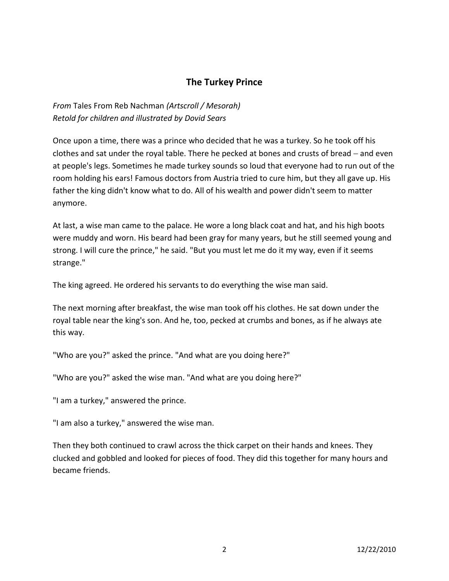## **The Turkey Prince**

*From* Tales From Reb Nachman *(Artscroll / Mesorah) Retold for children and illustrated by Dovid Sears*

Once upon a time, there was a prince who decided that he was a turkey. So he took off his clothes and sat under the royal table. There he pecked at bones and crusts of bread − and even at people's legs. Sometimes he made turkey sounds so loud that everyone had to run out of the room holding his ears! Famous doctors from Austria tried to cure him, but they all gave up. His father the king didn't know what to do. All of his wealth and power didn't seem to matter anymore.

At last, a wise man came to the palace. He wore a long black coat and hat, and his high boots were muddy and worn. His beard had been gray for many years, but he still seemed young and strong. I will cure the prince," he said. "But you must let me do it my way, even if it seems strange."

The king agreed. He ordered his servants to do everything the wise man said.

The next morning after breakfast, the wise man took off his clothes. He sat down under the royal table near the king's son. And he, too, pecked at crumbs and bones, as if he always ate this way.

"Who are you?" asked the prince. "And what are you doing here?"

"Who are you?" asked the wise man. "And what are you doing here?"

"I am a turkey," answered the prince.

"I am also a turkey," answered the wise man.

Then they both continued to crawl across the thick carpet on their hands and knees. They clucked and gobbled and looked for pieces of food. They did this together for many hours and became friends.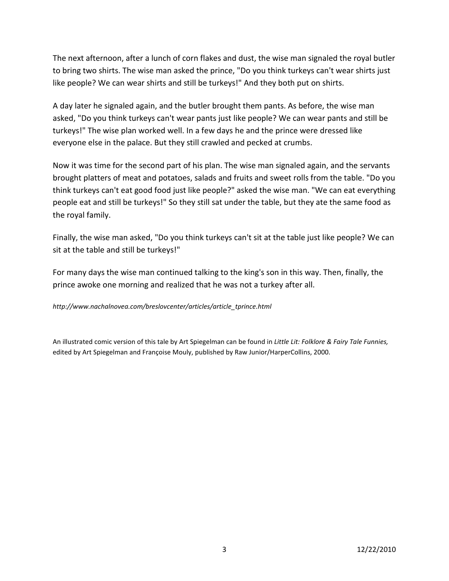The next afternoon, after a lunch of corn flakes and dust, the wise man signaled the royal butler to bring two shirts. The wise man asked the prince, "Do you think turkeys can't wear shirts just like people? We can wear shirts and still be turkeys!" And they both put on shirts.

A day later he signaled again, and the butler brought them pants. As before, the wise man asked, "Do you think turkeys can't wear pants just like people? We can wear pants and still be turkeys!" The wise plan worked well. In a few days he and the prince were dressed like everyone else in the palace. But they still crawled and pecked at crumbs.

Now it was time for the second part of his plan. The wise man signaled again, and the servants brought platters of meat and potatoes, salads and fruits and sweet rolls from the table. "Do you think turkeys can't eat good food just like people?" asked the wise man. "We can eat everything people eat and still be turkeys!" So they still sat under the table, but they ate the same food as the royal family.

Finally, the wise man asked, "Do you think turkeys can't sit at the table just like people? We can sit at the table and still be turkeys!"

For many days the wise man continued talking to the king's son in this way. Then, finally, the prince awoke one morning and realized that he was not a turkey after all.

*[http://www.nachalnovea.com/breslovcenter/articles/article\\_tprince.html](http://www.nachalnovea.com/breslovcenter/articles/article_tprince.html)*

An illustrated comic version of this tale by Art Spiegelman can be found in *Little Lit: Folklore & Fairy Tale Funnies,* edited by Art Spiegelman and Françoise Mouly, published by Raw Junior/HarperCollins, 2000.